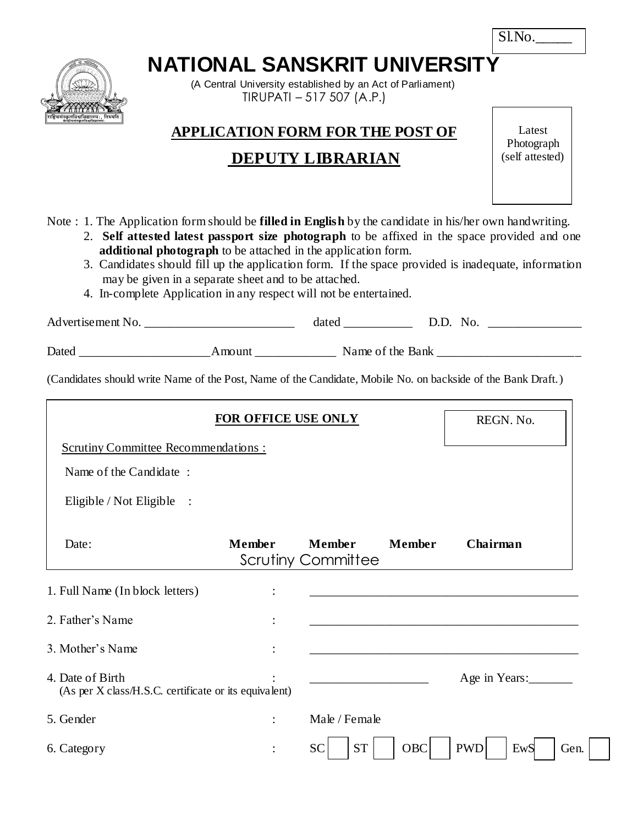| Sl.No |  |
|-------|--|
|-------|--|

# **NATIONAL SANSKRIT UNIVERSITY**

 (A Central University established by an Act of Parliament) TIRUPATI – 517 507 (A.P.)

## **APPLICATION FORM FOR THE POST OF**

# **DEPUTY LIBRARIAN**

Latest Photograph (self attested)

- Note : 1. The Application form should be **filled in English** by the candidate in his/her own handwriting.
	- 2. **Self attested latest passport size photograph** to be affixed in the space provided and one **additional photograph** to be attached in the application form.
	- 3. Candidates should fill up the application form. If the space provided is inadequate, information may be given in a separate sheet and to be attached.
	- 4. In-complete Application in any respect will not be entertained.

| Advertisement No. |        | dated            | D.D. No. |  |
|-------------------|--------|------------------|----------|--|
| Dated             | Amount | Name of the Bank |          |  |

(Candidates should write Name of the Post, Name of the Candidate, Mobile No. on backside of the Bank Draft.)

|                                                                           | REGN. No.     |                                     |               |                           |
|---------------------------------------------------------------------------|---------------|-------------------------------------|---------------|---------------------------|
| <b>Scrutiny Committee Recommendations:</b>                                |               |                                     |               |                           |
| Name of the Candidate:                                                    |               |                                     |               |                           |
| Eligible / Not Eligible :                                                 |               |                                     |               |                           |
| Date:                                                                     | <b>Member</b> | <b>Member</b><br>Scrutiny Committee | <b>Member</b> | Chairman                  |
| 1. Full Name (In block letters)                                           |               |                                     |               |                           |
| 2. Father's Name                                                          |               |                                     |               |                           |
| 3. Mother's Name                                                          |               |                                     |               |                           |
| 4. Date of Birth<br>(As per X class/H.S.C. certificate or its equivalent) |               |                                     |               | Age in Years:             |
| 5. Gender                                                                 |               | Male / Female                       |               |                           |
| 6. Category                                                               |               | <b>ST</b><br><b>SC</b>              | OBC           | <b>PWD</b><br>EwS<br>Gen. |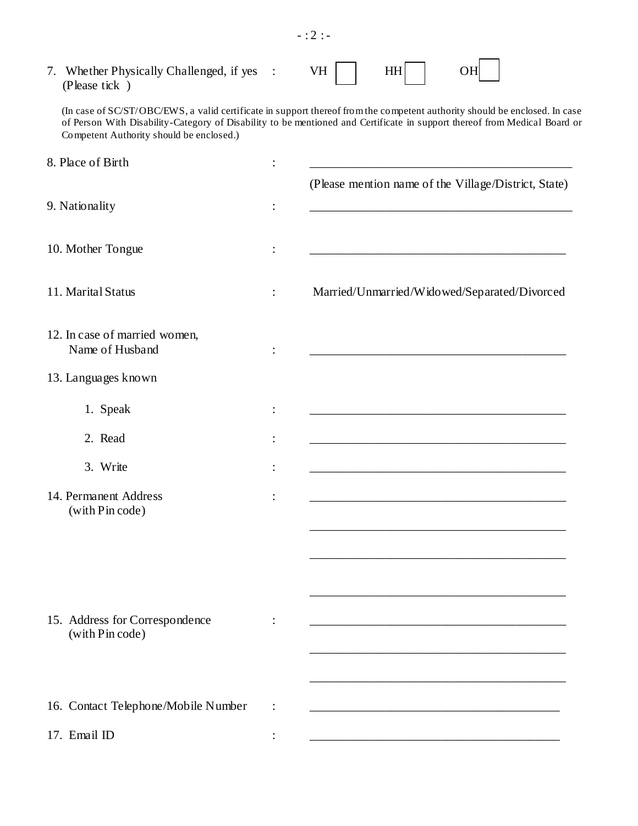| 7. Whether Physically Challenged, if yes :<br>(Please tick) |                      | VH<br><b>HH</b><br>OН                                                                                                                                                                                                                                   |
|-------------------------------------------------------------|----------------------|---------------------------------------------------------------------------------------------------------------------------------------------------------------------------------------------------------------------------------------------------------|
| Competent Authority should be enclosed.)                    |                      | (In case of SC/ST/OBC/EWS, a valid certificate in support thereof from the competent authority should be enclosed. In case<br>of Person With Disability-Category of Disability to be mentioned and Certificate in support thereof from Medical Board or |
| 8. Place of Birth                                           |                      |                                                                                                                                                                                                                                                         |
|                                                             |                      | (Please mention name of the Village/District, State)                                                                                                                                                                                                    |
| 9. Nationality                                              |                      |                                                                                                                                                                                                                                                         |
| 10. Mother Tongue                                           |                      |                                                                                                                                                                                                                                                         |
| 11. Marital Status                                          | $\ddot{\phantom{a}}$ | Married/Unmarried/Widowed/Separated/Divorced                                                                                                                                                                                                            |
| 12. In case of married women,<br>Name of Husband            |                      |                                                                                                                                                                                                                                                         |
| 13. Languages known                                         |                      |                                                                                                                                                                                                                                                         |
| 1. Speak                                                    |                      |                                                                                                                                                                                                                                                         |
| 2. Read                                                     |                      | <u> 1980 - Johann Barn, mars an t-Amerikaansk politiker (* 1901)</u>                                                                                                                                                                                    |
| 3. Write                                                    |                      |                                                                                                                                                                                                                                                         |
| 14. Permanent Address<br>(with Pin code)                    |                      |                                                                                                                                                                                                                                                         |
|                                                             |                      |                                                                                                                                                                                                                                                         |
|                                                             |                      |                                                                                                                                                                                                                                                         |
|                                                             |                      |                                                                                                                                                                                                                                                         |
| 15. Address for Correspondence<br>(with Pin code)           |                      |                                                                                                                                                                                                                                                         |
|                                                             |                      |                                                                                                                                                                                                                                                         |
| 16. Contact Telephone/Mobile Number                         |                      |                                                                                                                                                                                                                                                         |
| 17. Email ID                                                |                      |                                                                                                                                                                                                                                                         |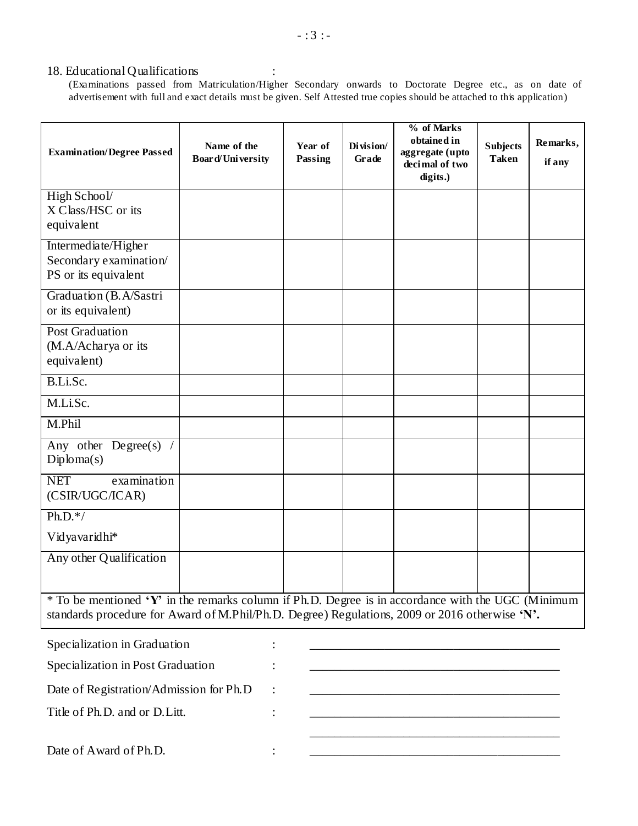#### 18. Educational Qualifications :

(Examinations passed from Matriculation/Higher Secondary onwards to Doctorate Degree etc., as on date of advertisement with full and exact details must be given. Self Attested true copies should be attached to this application)

| <b>Examination/Degree Passed</b>                                                                                                                                                                     | Name of the<br>Board/University | Year of<br>Passing | Division/<br>Grade | % of Marks<br>obtained in<br>aggregate (upto<br>decimal of two<br>digits.) | <b>Subjects</b><br><b>Taken</b> | Remarks,<br>if any |
|------------------------------------------------------------------------------------------------------------------------------------------------------------------------------------------------------|---------------------------------|--------------------|--------------------|----------------------------------------------------------------------------|---------------------------------|--------------------|
| High School/<br>X Class/HSC or its<br>equivalent                                                                                                                                                     |                                 |                    |                    |                                                                            |                                 |                    |
| Intermediate/Higher<br>Secondary examination/<br>PS or its equivalent                                                                                                                                |                                 |                    |                    |                                                                            |                                 |                    |
| Graduation (B.A/Sastri<br>or its equivalent)                                                                                                                                                         |                                 |                    |                    |                                                                            |                                 |                    |
| <b>Post Graduation</b><br>(M.A/Acharya or its<br>equivalent)                                                                                                                                         |                                 |                    |                    |                                                                            |                                 |                    |
| B.Li.Sc.                                                                                                                                                                                             |                                 |                    |                    |                                                                            |                                 |                    |
| M.Li.Sc.                                                                                                                                                                                             |                                 |                    |                    |                                                                            |                                 |                    |
| M.Phil                                                                                                                                                                                               |                                 |                    |                    |                                                                            |                                 |                    |
| Any other Degree(s) $/$<br>Diploma(s)                                                                                                                                                                |                                 |                    |                    |                                                                            |                                 |                    |
| <b>NET</b><br>examination<br>(CSIR/UGC/ICAR)                                                                                                                                                         |                                 |                    |                    |                                                                            |                                 |                    |
| $Ph.D.*/$                                                                                                                                                                                            |                                 |                    |                    |                                                                            |                                 |                    |
| Vidyavaridhi*                                                                                                                                                                                        |                                 |                    |                    |                                                                            |                                 |                    |
| Any other Qualification                                                                                                                                                                              |                                 |                    |                    |                                                                            |                                 |                    |
| * To be mentioned 'Y' in the remarks column if Ph.D. Degree is in accordance with the UGC (Minimum<br>standards procedure for Award of M.Phil/Ph.D. Degree) Regulations, 2009 or 2016 otherwise 'N'. |                                 |                    |                    |                                                                            |                                 |                    |
| Specialization in Graduation                                                                                                                                                                         |                                 |                    |                    |                                                                            |                                 |                    |
| Specialization in Post Graduation                                                                                                                                                                    |                                 |                    |                    |                                                                            |                                 |                    |
| Date of Registration/Admission for Ph.D                                                                                                                                                              |                                 |                    |                    |                                                                            |                                 |                    |
| Title of Ph.D. and or D.Litt.                                                                                                                                                                        |                                 |                    |                    |                                                                            |                                 |                    |
|                                                                                                                                                                                                      |                                 |                    |                    |                                                                            |                                 |                    |

Date of Award of Ph.D.  $\qquad \qquad :$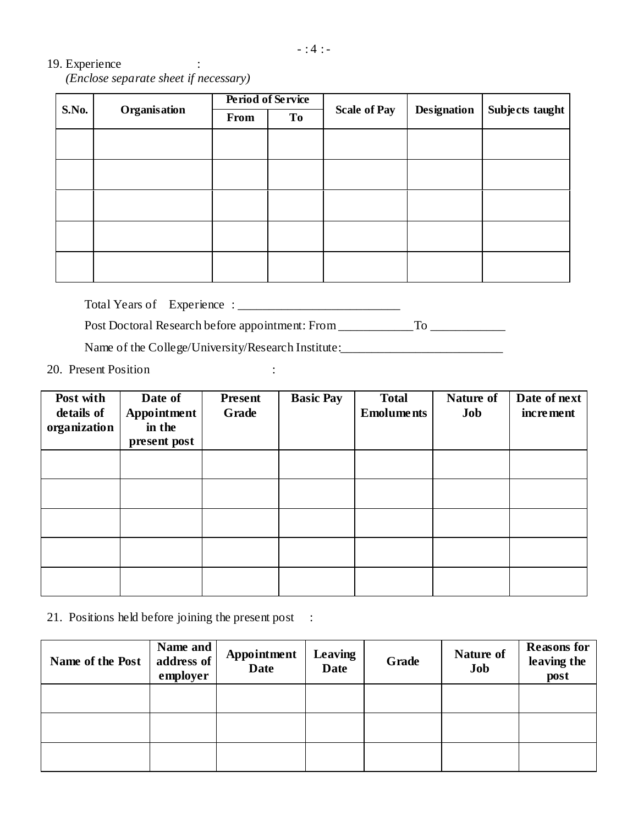#### 19. Experience :

 *(Enclose separate sheet if necessary)*

| <b>S.No.</b> |              |      | Period of Service |                     |                    | Subjects taught |  |
|--------------|--------------|------|-------------------|---------------------|--------------------|-----------------|--|
|              | Organisation | From | To                | <b>Scale of Pay</b> | <b>Designation</b> |                 |  |
|              |              |      |                   |                     |                    |                 |  |
|              |              |      |                   |                     |                    |                 |  |
|              |              |      |                   |                     |                    |                 |  |
|              |              |      |                   |                     |                    |                 |  |
|              |              |      |                   |                     |                    |                 |  |

Total Years of Experience : \_\_\_\_\_\_\_\_\_\_\_\_\_\_\_\_\_\_\_\_\_\_\_\_\_\_

Post Doctoral Research before appointment: From \_\_\_\_\_\_\_\_\_\_\_\_\_\_\_\_\_\_\_\_\_\_\_\_\_\_\_\_\_\_\_\_\_

Name of the College/University/Research Institute:

20. Present Position :

| Post with<br>details of<br>organization | Date of<br>Appointment<br>in the<br>present post | <b>Present</b><br>Grade | <b>Basic Pay</b> | <b>Total</b><br><b>Emoluments</b> | Nature of<br>Job | Date of next<br><i>increment</i> |
|-----------------------------------------|--------------------------------------------------|-------------------------|------------------|-----------------------------------|------------------|----------------------------------|
|                                         |                                                  |                         |                  |                                   |                  |                                  |
|                                         |                                                  |                         |                  |                                   |                  |                                  |
|                                         |                                                  |                         |                  |                                   |                  |                                  |
|                                         |                                                  |                         |                  |                                   |                  |                                  |
|                                         |                                                  |                         |                  |                                   |                  |                                  |

#### 21. Positions held before joining the present post :

| Name of the Post | Name and<br>address of<br>employer | Appointment<br><b>Date</b> | Leaving<br><b>Date</b> | Grade | Nature of<br>Job | <b>Reasons for</b><br>leaving the<br>post |
|------------------|------------------------------------|----------------------------|------------------------|-------|------------------|-------------------------------------------|
|                  |                                    |                            |                        |       |                  |                                           |
|                  |                                    |                            |                        |       |                  |                                           |
|                  |                                    |                            |                        |       |                  |                                           |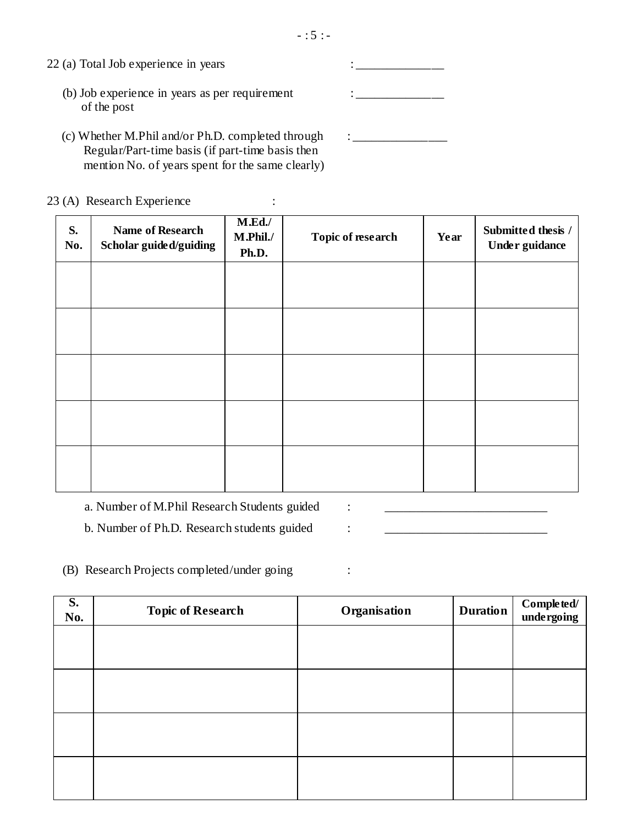| $\sim$<br>÷<br>÷ |
|------------------|
|------------------|

- $22$  (a) Total Job experience in years  $\cdot$ (b) Job experience in years as per requirement : \_\_\_\_\_\_\_\_\_\_\_\_\_\_\_\_\_\_\_\_\_\_\_\_\_\_\_\_\_\_\_\_ of the post
	- (c) Whether M.Phil and/or Ph.D. completed through : \_\_\_\_\_\_\_\_\_\_\_\_\_\_\_\_\_\_\_\_\_\_\_\_\_\_\_\_\_ Regular/Part-time basis (if part-time basis then mention No. of years spent for the same clearly)

23 (A) Research Experience :

| S.<br>No. | <b>Name of Research</b><br>Scholar guided/guiding | M.Ed.<br>M.Phil./<br>Ph.D. | Topic of research | Year | Submitted thesis /<br>Under guidance |
|-----------|---------------------------------------------------|----------------------------|-------------------|------|--------------------------------------|
|           |                                                   |                            |                   |      |                                      |
|           |                                                   |                            |                   |      |                                      |
|           |                                                   |                            |                   |      |                                      |
|           |                                                   |                            |                   |      |                                      |
|           |                                                   |                            |                   |      |                                      |

a. Number of M.Phil Research Students guided : \_\_\_\_\_\_\_\_\_\_\_\_\_\_\_\_\_\_\_\_\_\_\_\_\_\_\_\_\_\_\_\_\_

b. Number of Ph.D. Research students guided :

(B) Research Projects completed/under going :

| S.<br>No. | <b>Topic of Research</b> | Organisation | <b>Duration</b> | Completed/<br>undergoing |
|-----------|--------------------------|--------------|-----------------|--------------------------|
|           |                          |              |                 |                          |
|           |                          |              |                 |                          |
|           |                          |              |                 |                          |
|           |                          |              |                 |                          |
|           |                          |              |                 |                          |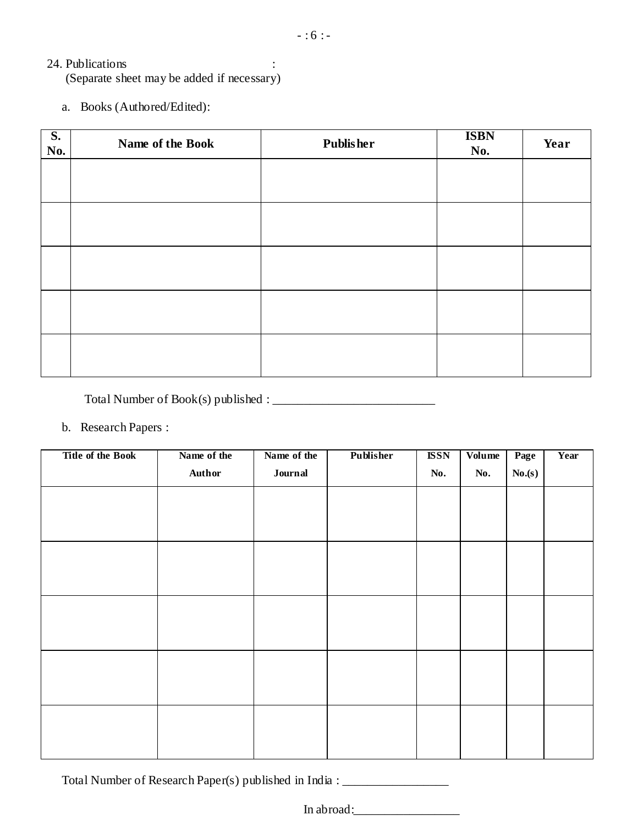#### 24. Publications :

(Separate sheet may be added if necessary)

a. Books (Authored/Edited):

| $\overline{\mathbf{S}}$ .<br>No. | Name of the Book | <b>Publisher</b> | <b>ISBN</b><br>No. | Year |
|----------------------------------|------------------|------------------|--------------------|------|
|                                  |                  |                  |                    |      |
|                                  |                  |                  |                    |      |
|                                  |                  |                  |                    |      |
|                                  |                  |                  |                    |      |
|                                  |                  |                  |                    |      |
|                                  |                  |                  |                    |      |
|                                  |                  |                  |                    |      |
|                                  |                  |                  |                    |      |

Total Number of Book(s) published : \_\_\_\_\_\_\_\_\_\_\_\_\_\_\_\_\_\_\_\_\_\_\_\_\_\_

#### b. Research Papers :

| <b>Title of the Book</b> | Name of the | Name of the | Publisher | <b>ISSN</b> | Volume | Page   | Year |
|--------------------------|-------------|-------------|-----------|-------------|--------|--------|------|
|                          | Author      | Journal     |           | No.         | No.    | No.(s) |      |
|                          |             |             |           |             |        |        |      |
|                          |             |             |           |             |        |        |      |
|                          |             |             |           |             |        |        |      |
|                          |             |             |           |             |        |        |      |
|                          |             |             |           |             |        |        |      |
|                          |             |             |           |             |        |        |      |
|                          |             |             |           |             |        |        |      |
|                          |             |             |           |             |        |        |      |
|                          |             |             |           |             |        |        |      |
|                          |             |             |           |             |        |        |      |
|                          |             |             |           |             |        |        |      |
|                          |             |             |           |             |        |        |      |
|                          |             |             |           |             |        |        |      |
|                          |             |             |           |             |        |        |      |
|                          |             |             |           |             |        |        |      |

Total Number of Research Paper(s) published in India : \_\_\_\_\_\_\_\_\_\_\_\_\_\_\_\_\_\_\_\_\_\_\_\_\_

In abroad: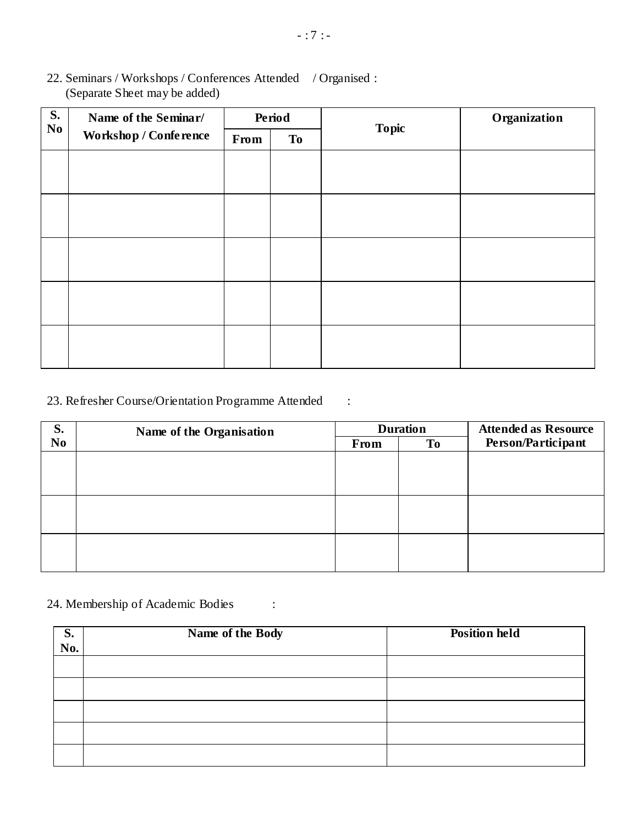- (Separate Sheet may be added) **S. No Name of the Seminar/ Workshop / Conference Period Topic Organization From To**
- 22. Seminars / Workshops / Conferences Attended / Organised :

#### 23. Refresher Course/Orientation Programme Attended :

| S.             | Name of the Organisation |      | <b>Duration</b> | <b>Attended as Resource</b> |  |
|----------------|--------------------------|------|-----------------|-----------------------------|--|
| N <sub>0</sub> |                          | From | <b>To</b>       | Person/Participant          |  |
|                |                          |      |                 |                             |  |
|                |                          |      |                 |                             |  |
|                |                          |      |                 |                             |  |
|                |                          |      |                 |                             |  |
|                |                          |      |                 |                             |  |
|                |                          |      |                 |                             |  |
|                |                          |      |                 |                             |  |
|                |                          |      |                 |                             |  |
|                |                          |      |                 |                             |  |

### 24. Membership of Academic Bodies :

| $\overline{\overline{\text{S.}}}$<br>No. | Name of the Body | <b>Position held</b> |
|------------------------------------------|------------------|----------------------|
|                                          |                  |                      |
|                                          |                  |                      |
|                                          |                  |                      |
|                                          |                  |                      |
|                                          |                  |                      |
|                                          |                  |                      |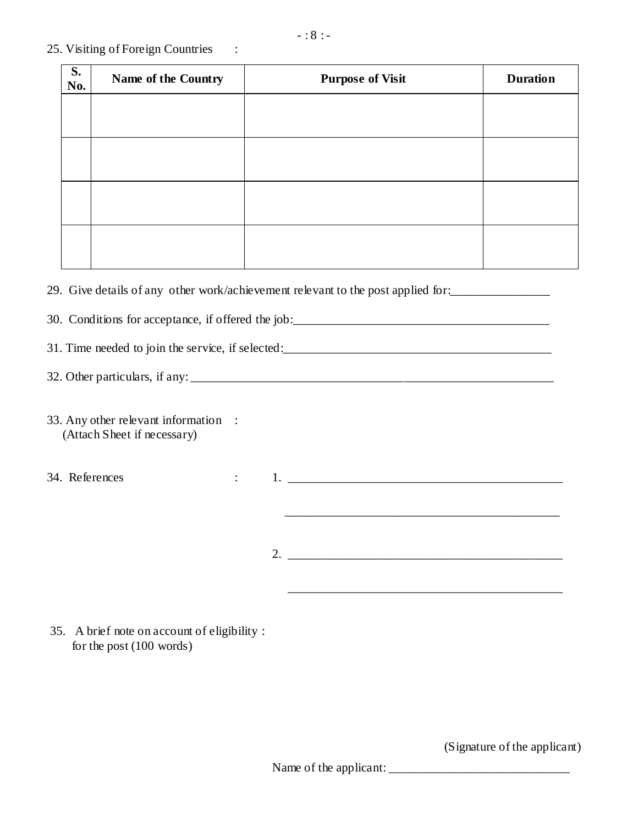#### 25. Visiting of Foreign Countries :

| <b>S.</b><br>No. | Name of the Country | <b>Purpose of Visit</b> | <b>Duration</b> |
|------------------|---------------------|-------------------------|-----------------|
|                  |                     |                         |                 |
|                  |                     |                         |                 |
|                  |                     |                         |                 |
|                  |                     |                         |                 |
|                  |                     |                         |                 |
|                  |                     |                         |                 |

29. Give details of any other work/achievement relevant to the post applied for:

30. Conditions for acceptance, if offered the job:\_\_\_\_\_\_\_\_\_\_\_\_\_\_\_\_\_\_\_\_\_\_\_\_\_\_\_\_\_\_\_\_\_\_\_\_\_\_\_\_\_

31. Time needed to join the service, if selected:

32. Other particulars, if any:

- 33. Any other relevant information : (Attach Sheet if necessary)
- 34. References : 1. \_\_\_\_\_\_\_\_\_\_\_\_\_\_\_\_\_\_\_\_\_\_\_\_\_\_\_\_\_\_\_\_\_\_\_\_\_\_\_\_\_\_\_\_
	- 2. \_\_\_\_\_\_\_\_\_\_\_\_\_\_\_\_\_\_\_\_\_\_\_\_\_\_\_\_\_\_\_\_\_\_\_\_\_\_\_\_\_\_\_\_

\_\_\_\_\_\_\_\_\_\_\_\_\_\_\_\_\_\_\_\_\_\_\_\_\_\_\_\_\_\_\_\_\_\_\_\_\_\_\_\_\_\_\_\_

\_\_\_\_\_\_\_\_\_\_\_\_\_\_\_\_\_\_\_\_\_\_\_\_\_\_\_\_\_\_\_\_\_\_\_\_\_\_\_\_\_\_\_\_

35. A brief note on account of eligibility : for the post (100 words)

(Signature of the applicant)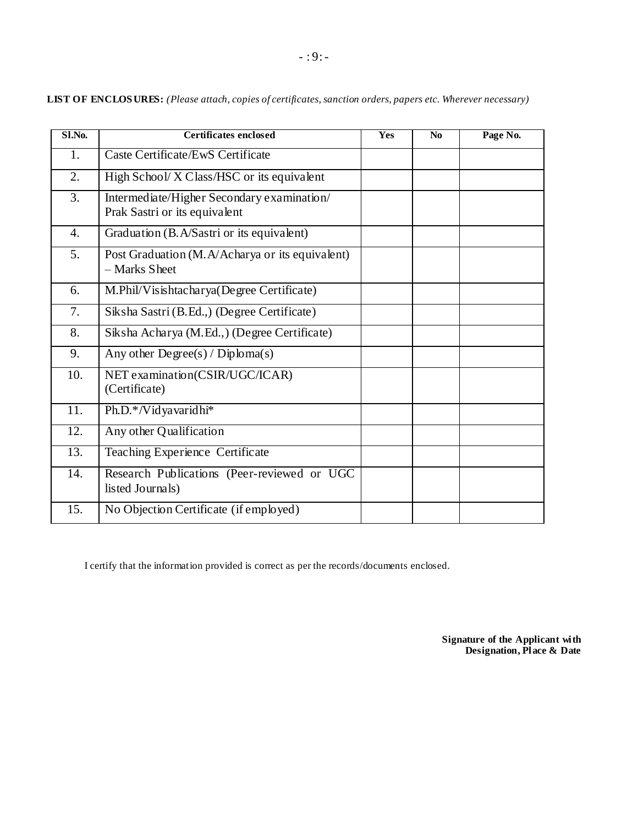| S1.No.            | Certificates enclosed                                                       | <b>Yes</b> | N <sub>0</sub> | Page No. |
|-------------------|-----------------------------------------------------------------------------|------------|----------------|----------|
| 1.                | Caste Certificate/EwS Certificate                                           |            |                |          |
| 2.                | High School/X Class/HSC or its equivalent                                   |            |                |          |
| 3.                | Intermediate/Higher Secondary examination/<br>Prak Sastri or its equivalent |            |                |          |
| 4.                | Graduation (B.A/Sastri or its equivalent)                                   |            |                |          |
| 5.                | Post Graduation (M. A/Acharya or its equivalent)<br>- Marks Sheet           |            |                |          |
| 6.                | M.Phil/Visishtacharya(Degree Certificate)                                   |            |                |          |
| 7.                | Siksha Sastri (B.Ed.,) (Degree Certificate)                                 |            |                |          |
| 8.                | Siksha Acharya (M.Ed.,) (Degree Certificate)                                |            |                |          |
| 9.                | Any other $Degree(s) / Diploma(s)$                                          |            |                |          |
| 10.               | NET examination(CSIR/UGC/ICAR)<br>(Certificate)                             |            |                |          |
| $\overline{1}1.$  | Ph.D.*/Vidyavaridhi*                                                        |            |                |          |
| 12.               | Any other Qualification                                                     |            |                |          |
| $\overline{13}$ . | <b>Teaching Experience Certificate</b>                                      |            |                |          |
| 14.               | Research Publications (Peer-reviewed or UGC<br>listed Journals)             |            |                |          |
| 15.               | No Objection Certificate (if employed)                                      |            |                |          |

**LIST OF ENCLOS URES:** *(Please attach, copies of certificates, sanction orders, papers etc. Wherever necessary)*

I certify that the information provided is correct as per the records/documents enclosed.

**Signature of the Applicant with Designation, Place & Date**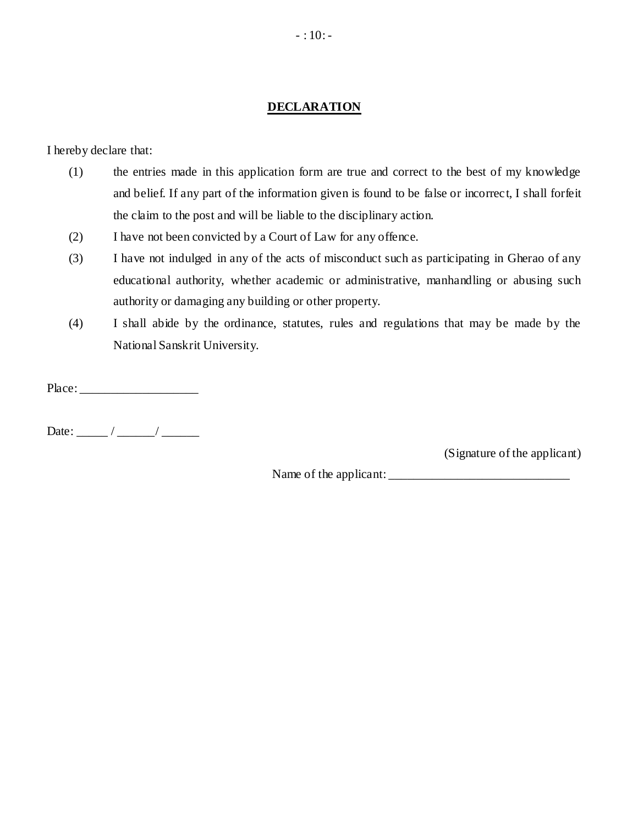#### **DECLARATION**

I hereby declare that:

- (1) the entries made in this application form are true and correct to the best of my knowledge and belief. If any part of the information given is found to be false or incorrec t, I shall forfeit the claim to the post and will be liable to the disciplinary action.
- (2) I have not been convicted by a Court of Law for any offence.
- (3) I have not indulged in any of the acts of misconduct such as participating in Gherao of any educational authority, whether academic or administrative, manhandling or abusing such authority or damaging any building or other property.
- (4) I shall abide by the ordinance, statutes, rules and regulations that may be made by the National Sanskrit University.

Place: \_\_\_\_\_\_\_\_\_\_\_\_\_\_\_\_\_\_\_

Date: \_\_\_\_\_ / \_\_\_\_\_\_/ \_\_\_\_\_\_

(Signature of the applicant)

Name of the applicant: \_\_\_\_\_\_\_\_\_\_\_\_\_\_\_\_\_\_\_\_\_\_\_\_\_\_\_\_\_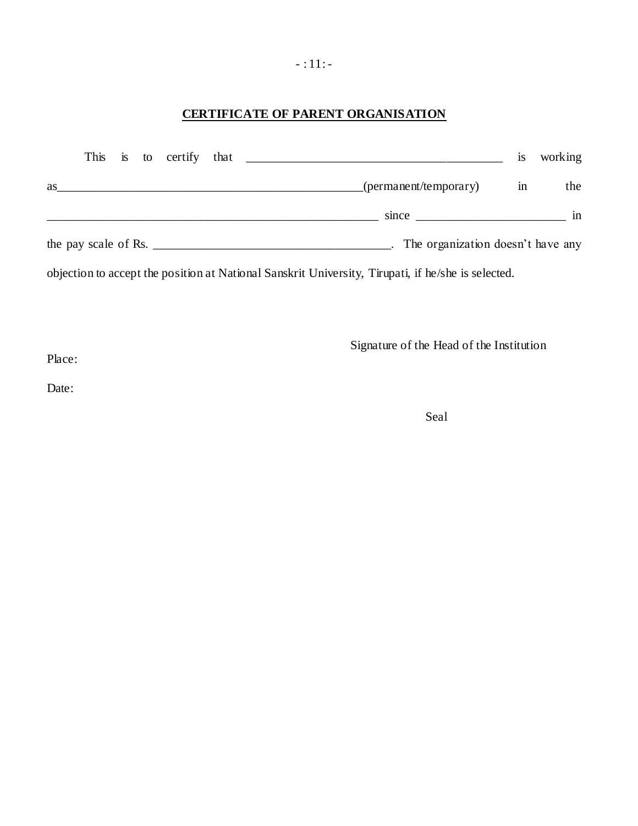### **CERTIFICATE OF PARENT ORGANISATION**

|    |  |  |                                                                                                                                           | <b>1S</b> | working |
|----|--|--|-------------------------------------------------------------------------------------------------------------------------------------------|-----------|---------|
| as |  |  | (permanent/temporary)<br>and the control of the control of the control of the control of the control of the control of the control of the | in        | the     |
|    |  |  | $since \_$                                                                                                                                |           | in      |
|    |  |  | the pay scale of Rs. $\frac{1}{2}$ methods in the pay scale of Rs.<br>. The organization doesn't have any                                 |           |         |
|    |  |  | objection to accept the position at National Sanskrit University, Tirupati, if he/she is selected.                                        |           |         |

Signature of the Head of the Institution

Place:

Date:

Seal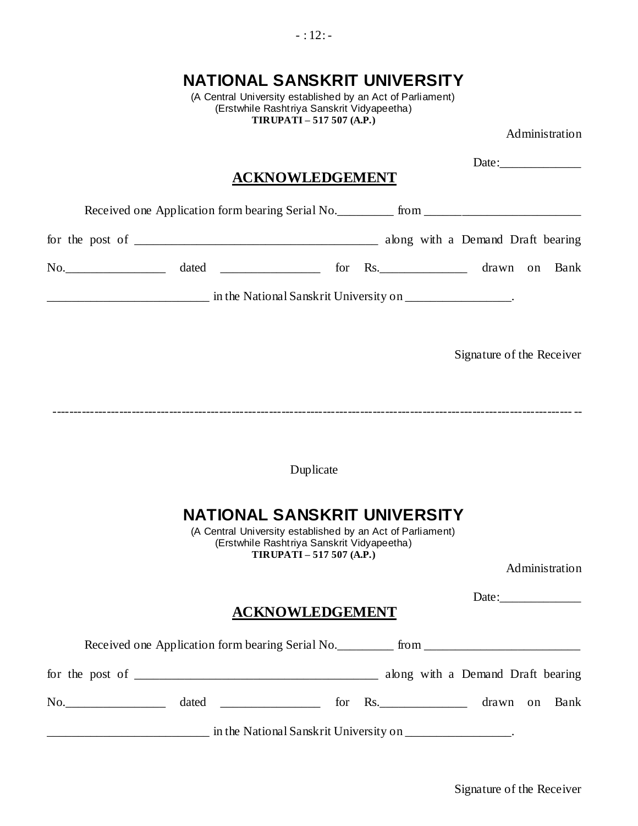(Erstwhile Rashtriya Sanskrit Vidyapeetha) **TIRUPATI – 517 507 (A.P.)** Administration Date: **ACKNOWLEDGEMENT** Received one Application form bearing Serial No. \_\_\_\_\_\_\_\_\_ from \_\_\_\_\_\_\_\_\_\_\_\_\_\_\_\_\_ for the post of \_\_\_\_\_\_\_\_\_\_\_\_\_\_\_\_\_\_\_\_\_\_\_\_\_\_\_\_\_\_\_\_\_\_\_\_\_\_\_ along with a Demand Draft bearing No. And a stated the state of the state of the state of the state of the state of the state of the state of the state of the state of the state of the state of the state of the state of the state of the state of the state \_\_\_\_\_\_\_\_\_\_\_\_\_\_\_\_\_\_\_\_\_\_\_\_\_\_ in the National Sanskrit University on \_\_\_\_\_\_\_\_\_\_\_\_\_\_\_\_\_. Signature of the Receiver Duplicate **NATIONAL SANSKRIT UNIVERSITY** (A Central University established by an Act of Parliament) (Erstwhile Rashtriya Sanskrit Vidyapeetha) **TIRUPATI – 517 507 (A.P.)** Administration Date:\_\_\_\_\_\_\_\_\_\_\_\_\_ **ACKNOWLEDGEMENT** Received one Application form bearing Serial No. \_\_\_\_\_\_\_\_\_ from \_\_\_\_\_\_\_\_\_\_\_\_\_\_\_\_\_ for the post of \_\_\_\_\_\_\_\_\_\_\_\_\_\_\_\_\_\_\_\_\_\_\_\_\_\_\_\_\_\_\_\_\_\_\_\_\_\_\_ along with a Demand Draft bearing No.\_\_\_\_\_\_\_\_\_\_\_\_\_\_\_\_ dated \_\_\_\_\_\_\_\_\_\_\_\_\_\_\_\_ for Rs.\_\_\_\_\_\_\_\_\_\_\_\_\_\_ drawn on Bank and the National Sanskrit University on \_\_\_\_\_\_\_\_\_\_\_\_\_\_\_\_\_\_\_.

**NATIONAL SANSKRIT UNIVERSITY** (A Central University established by an Act of Parliament)

#### Signature of the Receiver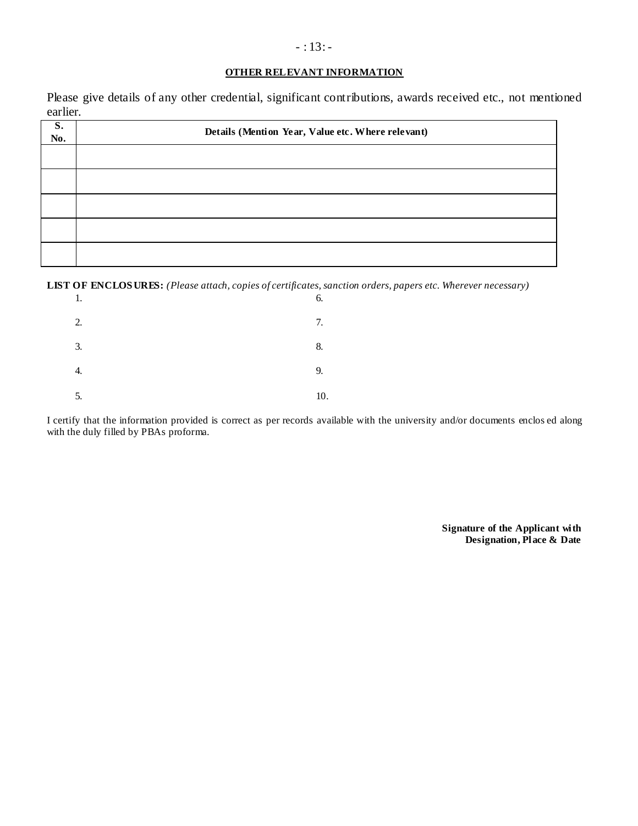#### **OTHER RELEVANT INFORMATION**

Please give details of any other credential, significant contributions, awards received etc., not mentioned earlier.

| S.<br>No. | Details (Mention Year, Value etc. Where relevant) |
|-----------|---------------------------------------------------|
|           |                                                   |
|           |                                                   |
|           |                                                   |
|           |                                                   |
|           |                                                   |

**LIST OF ENCLOS URES:** *(Please attach, copies of certificates, sanction orders, papers etc. Wherever necessary)*

| 1. | 6.  |
|----|-----|
| 2. | 7.  |
| 3. | 8.  |
| 4. | 9.  |
| 5. | 10. |

I certify that the information provided is correct as per records available with the university and/or documents enclos ed along with the duly filled by PBAs proforma.

> **Signature of the Applicant with Designation, Place & Date**